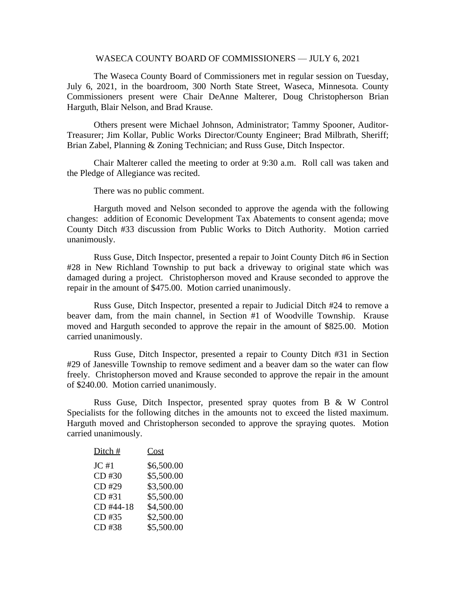## WASECA COUNTY BOARD OF COMMISSIONERS — JULY 6, 2021

The Waseca County Board of Commissioners met in regular session on Tuesday, July 6, 2021, in the boardroom, 300 North State Street, Waseca, Minnesota. County Commissioners present were Chair DeAnne Malterer, Doug Christopherson Brian Harguth, Blair Nelson, and Brad Krause.

Others present were Michael Johnson, Administrator; Tammy Spooner, Auditor-Treasurer; Jim Kollar, Public Works Director/County Engineer; Brad Milbrath, Sheriff; Brian Zabel, Planning & Zoning Technician; and Russ Guse, Ditch Inspector.

Chair Malterer called the meeting to order at 9:30 a.m. Roll call was taken and the Pledge of Allegiance was recited.

There was no public comment.

Harguth moved and Nelson seconded to approve the agenda with the following changes: addition of Economic Development Tax Abatements to consent agenda; move County Ditch #33 discussion from Public Works to Ditch Authority. Motion carried unanimously.

Russ Guse, Ditch Inspector, presented a repair to Joint County Ditch #6 in Section #28 in New Richland Township to put back a driveway to original state which was damaged during a project. Christopherson moved and Krause seconded to approve the repair in the amount of \$475.00. Motion carried unanimously.

Russ Guse, Ditch Inspector, presented a repair to Judicial Ditch #24 to remove a beaver dam, from the main channel, in Section #1 of Woodville Township. Krause moved and Harguth seconded to approve the repair in the amount of \$825.00. Motion carried unanimously.

Russ Guse, Ditch Inspector, presented a repair to County Ditch #31 in Section #29 of Janesville Township to remove sediment and a beaver dam so the water can flow freely. Christopherson moved and Krause seconded to approve the repair in the amount of \$240.00. Motion carried unanimously.

Russ Guse, Ditch Inspector, presented spray quotes from B & W Control Specialists for the following ditches in the amounts not to exceed the listed maximum. Harguth moved and Christopherson seconded to approve the spraying quotes. Motion carried unanimously.

| Ditch #   | Cost       |
|-----------|------------|
| JC#1      | \$6,500.00 |
| CD #30    | \$5,500.00 |
| CD #29    | \$3,500.00 |
| CD #31    | \$5,500.00 |
| CD #44-18 | \$4,500.00 |
| CD #35    | \$2,500.00 |
| CD #38    | \$5,500.00 |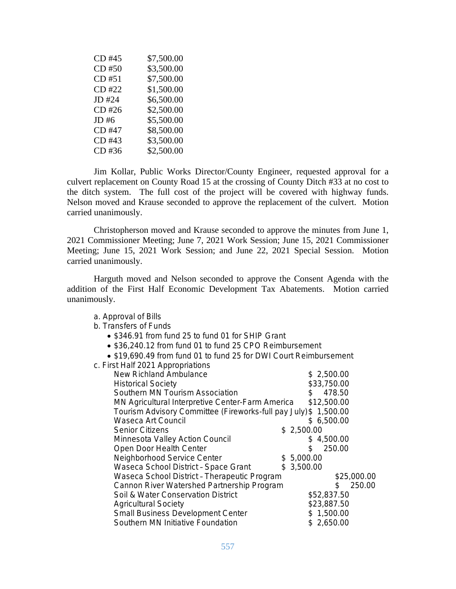| CD #45 | \$7,500.00 |
|--------|------------|
| CD #50 | \$3,500.00 |
| CD #51 | \$7,500.00 |
| CD #22 | \$1,500.00 |
| JD #24 | \$6,500.00 |
| CD #26 | \$2,500.00 |
| JD #6  | \$5,500.00 |
| CD #47 | \$8,500.00 |
| CD #43 | \$3,500.00 |
| CD #36 | \$2,500.00 |

a. Approval of Bills b. Transfers of Funds

Jim Kollar, Public Works Director/County Engineer, requested approval for a culvert replacement on County Road 15 at the crossing of County Ditch #33 at no cost to the ditch system. The full cost of the project will be covered with highway funds. Nelson moved and Krause seconded to approve the replacement of the culvert. Motion carried unanimously.

Christopherson moved and Krause seconded to approve the minutes from June 1, 2021 Commissioner Meeting; June 7, 2021 Work Session; June 15, 2021 Commissioner Meeting; June 15, 2021 Work Session; and June 22, 2021 Special Session. Motion carried unanimously.

Harguth moved and Nelson seconded to approve the Consent Agenda with the addition of the First Half Economic Development Tax Abatements. Motion carried unanimously.

| • \$346.91 from fund 25 to fund 01 for SHIP Grant                 |                        |  |
|-------------------------------------------------------------------|------------------------|--|
| • \$36,240.12 from fund 01 to fund 25 CPO Reimbursement           |                        |  |
| • \$19,690.49 from fund 01 to fund 25 for DWI Court Reimbursement |                        |  |
| c. First Half 2021 Appropriations                                 |                        |  |
| <b>New Richland Ambulance</b>                                     | \$2,500.00             |  |
| <b>Historical Society</b>                                         | \$33,750.00            |  |
| Southern MN Tourism Association                                   | 478.50<br>$\mathbb{S}$ |  |
| \$12,500.00<br>MN Agricultural Interpretive Center-Farm America   |                        |  |
| Tourism Advisory Committee (Fireworks-full pay July) \$           | 1,500.00               |  |
| Waseca Art Council                                                | \$6,500.00             |  |
| <b>Senior Citizens</b>                                            | \$2,500.00             |  |
| Minnesota Valley Action Council                                   | \$4,500.00             |  |
| Open Door Health Center                                           | 250.00<br>\$.          |  |
| Neighborhood Service Center                                       | \$5,000.00             |  |
| Waseca School District - Space Grant                              | \$3,500.00             |  |
| Waseca School District - Therapeutic Program                      | \$25,000.00            |  |
| Cannon River Watershed Partnership Program                        | 250.00<br>\$.          |  |
| Soil & Water Conservation District                                | \$52,837.50            |  |
| <b>Agricultural Society</b>                                       | \$23,887.50            |  |
| Small Business Development Center                                 | \$1,500.00             |  |
| Southern MN Initiative Foundation                                 | \$2,650.00             |  |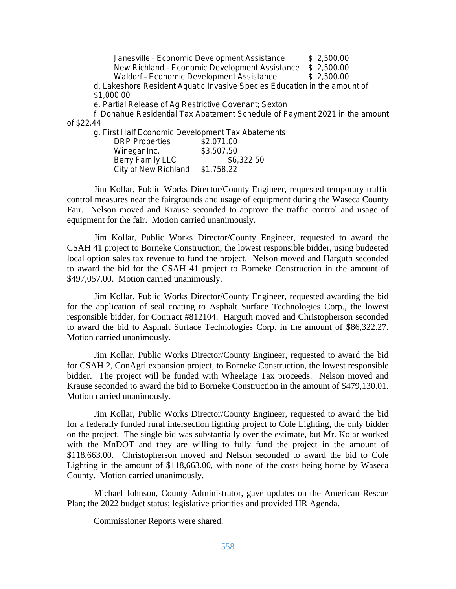Janesville – Economic Development Assistance \$ 2,500.00 New Richland - Economic Development Assistance \$ 2,500.00 Waldorf - Economic Development Assistance \$ 2,500.00

d. Lakeshore Resident Aquatic Invasive Species Education in the amount of \$1,000.00

e. Partial Release of Ag Restrictive Covenant; Sexton

f. Donahue Residential Tax Abatement Schedule of Payment 2021 in the amount of \$22.44

g. First Half Economic Development Tax Abatements

| <b>DRP Properties</b> | \$2,071.00 |
|-----------------------|------------|
| Winegar Inc.          | \$3,507.50 |
| Berry Family LLC      | \$6,322.50 |
| City of New Richland  | \$1,758.22 |

Jim Kollar, Public Works Director/County Engineer, requested temporary traffic control measures near the fairgrounds and usage of equipment during the Waseca County Fair. Nelson moved and Krause seconded to approve the traffic control and usage of equipment for the fair. Motion carried unanimously.

Jim Kollar, Public Works Director/County Engineer, requested to award the CSAH 41 project to Borneke Construction, the lowest responsible bidder, using budgeted local option sales tax revenue to fund the project. Nelson moved and Harguth seconded to award the bid for the CSAH 41 project to Borneke Construction in the amount of \$497,057.00. Motion carried unanimously.

Jim Kollar, Public Works Director/County Engineer, requested awarding the bid for the application of seal coating to Asphalt Surface Technologies Corp., the lowest responsible bidder, for Contract #812104. Harguth moved and Christopherson seconded to award the bid to Asphalt Surface Technologies Corp. in the amount of \$86,322.27. Motion carried unanimously.

Jim Kollar, Public Works Director/County Engineer, requested to award the bid for CSAH 2, ConAgri expansion project, to Borneke Construction, the lowest responsible bidder. The project will be funded with Wheelage Tax proceeds. Nelson moved and Krause seconded to award the bid to Borneke Construction in the amount of \$479,130.01. Motion carried unanimously.

Jim Kollar, Public Works Director/County Engineer, requested to award the bid for a federally funded rural intersection lighting project to Cole Lighting, the only bidder on the project. The single bid was substantially over the estimate, but Mr. Kolar worked with the MnDOT and they are willing to fully fund the project in the amount of \$118,663.00. Christopherson moved and Nelson seconded to award the bid to Cole Lighting in the amount of \$118,663.00, with none of the costs being borne by Waseca County. Motion carried unanimously.

Michael Johnson, County Administrator, gave updates on the American Rescue Plan; the 2022 budget status; legislative priorities and provided HR Agenda.

Commissioner Reports were shared.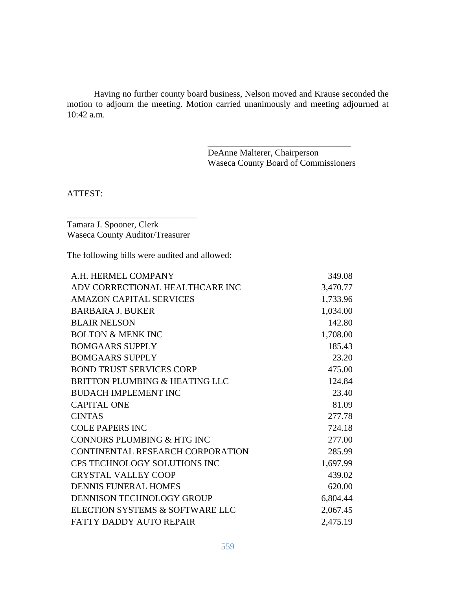Having no further county board business, Nelson moved and Krause seconded the motion to adjourn the meeting. Motion carried unanimously and meeting adjourned at 10:42 a.m.

> DeAnne Malterer, Chairperson Waseca County Board of Commissioners

\_\_\_\_\_\_\_\_\_\_\_\_\_\_\_\_\_\_\_\_\_\_\_\_\_\_\_\_\_\_\_\_

ATTEST:

Tamara J. Spooner, Clerk Waseca County Auditor/Treasurer

\_\_\_\_\_\_\_\_\_\_\_\_\_\_\_\_\_\_\_\_\_\_\_\_\_\_\_\_\_

The following bills were audited and allowed:

| A.H. HERMEL COMPANY              | 349.08   |
|----------------------------------|----------|
| ADV CORRECTIONAL HEALTHCARE INC  | 3,470.77 |
| <b>AMAZON CAPITAL SERVICES</b>   | 1,733.96 |
| <b>BARBARA J. BUKER</b>          | 1,034.00 |
| <b>BLAIR NELSON</b>              | 142.80   |
| <b>BOLTON &amp; MENK INC</b>     | 1,708.00 |
| <b>BOMGAARS SUPPLY</b>           | 185.43   |
| <b>BOMGAARS SUPPLY</b>           | 23.20    |
| <b>BOND TRUST SERVICES CORP</b>  | 475.00   |
| BRITTON PLUMBING & HEATING LLC   | 124.84   |
| <b>BUDACH IMPLEMENT INC</b>      | 23.40    |
| <b>CAPITAL ONE</b>               | 81.09    |
| <b>CINTAS</b>                    | 277.78   |
| <b>COLE PAPERS INC</b>           | 724.18   |
| CONNORS PLUMBING & HTG INC       | 277.00   |
| CONTINENTAL RESEARCH CORPORATION | 285.99   |
| CPS TECHNOLOGY SOLUTIONS INC     | 1,697.99 |
| <b>CRYSTAL VALLEY COOP</b>       | 439.02   |
| <b>DENNIS FUNERAL HOMES</b>      | 620.00   |
| DENNISON TECHNOLOGY GROUP        | 6,804.44 |
| ELECTION SYSTEMS & SOFTWARE LLC  | 2,067.45 |
| <b>FATTY DADDY AUTO REPAIR</b>   | 2,475.19 |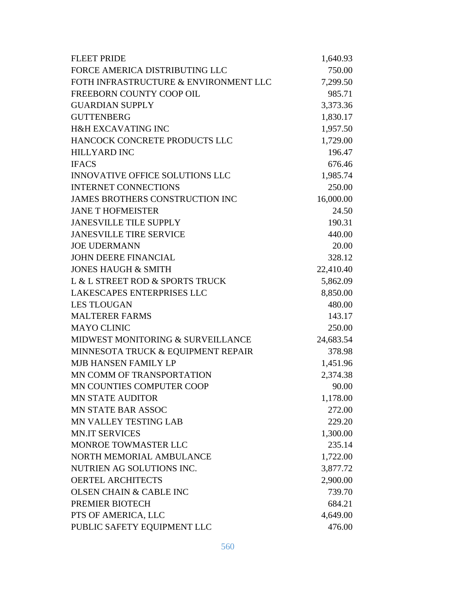| <b>FLEET PRIDE</b>                     | 1,640.93  |
|----------------------------------------|-----------|
| FORCE AMERICA DISTRIBUTING LLC         | 750.00    |
| FOTH INFRASTRUCTURE & ENVIRONMENT LLC  | 7,299.50  |
| FREEBORN COUNTY COOP OIL               | 985.71    |
| <b>GUARDIAN SUPPLY</b>                 | 3,373.36  |
| <b>GUTTENBERG</b>                      | 1,830.17  |
| <b>H&amp;H EXCAVATING INC</b>          | 1,957.50  |
| HANCOCK CONCRETE PRODUCTS LLC          | 1,729.00  |
| <b>HILLYARD INC</b>                    | 196.47    |
| <b>IFACS</b>                           | 676.46    |
| <b>INNOVATIVE OFFICE SOLUTIONS LLC</b> | 1,985.74  |
| <b>INTERNET CONNECTIONS</b>            | 250.00    |
| <b>JAMES BROTHERS CONSTRUCTION INC</b> | 16,000.00 |
| <b>JANE T HOFMEISTER</b>               | 24.50     |
| <b>JANESVILLE TILE SUPPLY</b>          | 190.31    |
| <b>JANESVILLE TIRE SERVICE</b>         | 440.00    |
| <b>JOE UDERMANN</b>                    | 20.00     |
| <b>JOHN DEERE FINANCIAL</b>            | 328.12    |
| <b>JONES HAUGH &amp; SMITH</b>         | 22,410.40 |
| L & L STREET ROD & SPORTS TRUCK        | 5,862.09  |
| LAKESCAPES ENTERPRISES LLC             | 8,850.00  |
| <b>LES TLOUGAN</b>                     | 480.00    |
| <b>MALTERER FARMS</b>                  | 143.17    |
| <b>MAYO CLINIC</b>                     | 250.00    |
| MIDWEST MONITORING & SURVEILLANCE      | 24,683.54 |
| MINNESOTA TRUCK & EQUIPMENT REPAIR     | 378.98    |
| <b>MJB HANSEN FAMILY LP</b>            | 1,451.96  |
| MN COMM OF TRANSPORTATION              | 2,374.38  |
| MN COUNTIES COMPUTER COOP              | 90.00     |
| <b>MN STATE AUDITOR</b>                | 1,178.00  |
| <b>MN STATE BAR ASSOC</b>              | 272.00    |
| MN VALLEY TESTING LAB                  | 229.20    |
| <b>MN.IT SERVICES</b>                  | 1,300.00  |
| MONROE TOWMASTER LLC                   | 235.14    |
| NORTH MEMORIAL AMBULANCE               | 1,722.00  |
| NUTRIEN AG SOLUTIONS INC.              | 3,877.72  |
| <b>OERTEL ARCHITECTS</b>               | 2,900.00  |
| <b>OLSEN CHAIN &amp; CABLE INC</b>     | 739.70    |
| PREMIER BIOTECH                        | 684.21    |
| PTS OF AMERICA, LLC                    | 4,649.00  |
| PUBLIC SAFETY EQUIPMENT LLC            | 476.00    |